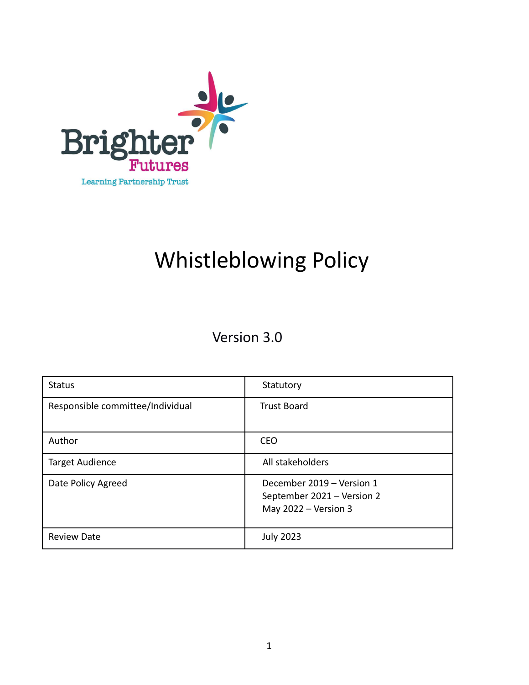

# Whistleblowing Policy

Version 3.0

| <b>Status</b>                    | Statutory                                                                         |  |
|----------------------------------|-----------------------------------------------------------------------------------|--|
| Responsible committee/Individual | <b>Trust Board</b>                                                                |  |
| Author                           | <b>CEO</b>                                                                        |  |
| <b>Target Audience</b>           | All stakeholders                                                                  |  |
| Date Policy Agreed               | December 2019 - Version 1<br>September 2021 - Version 2<br>May $2022 - Version 3$ |  |
| <b>Review Date</b>               | <b>July 2023</b>                                                                  |  |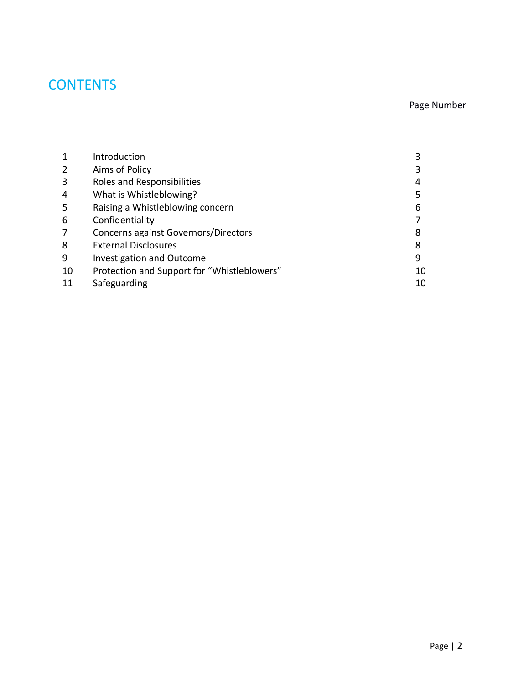# **CONTENTS**

#### Page Number

|    | Introduction                                |    |
|----|---------------------------------------------|----|
| 2  | Aims of Policy                              |    |
| 3  | Roles and Responsibilities                  | 4  |
| 4  | What is Whistleblowing?                     |    |
| 5  | Raising a Whistleblowing concern            | 6  |
| 6  | Confidentiality                             |    |
| 7  | Concerns against Governors/Directors        | 8  |
| 8  | <b>External Disclosures</b>                 | 8  |
| 9  | <b>Investigation and Outcome</b>            | 9  |
| 10 | Protection and Support for "Whistleblowers" | 10 |
| 11 | Safeguarding                                | 10 |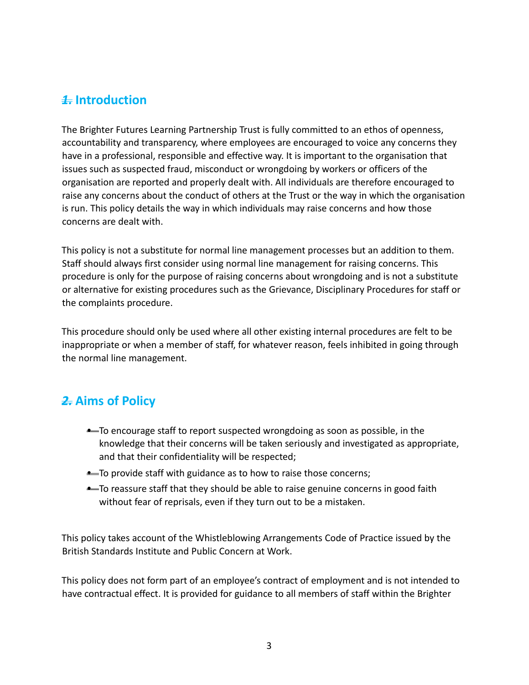#### *1.* **Introduction**

The Brighter Futures Learning Partnership Trust is fully committed to an ethos of openness, accountability and transparency, where employees are encouraged to voice any concerns they have in a professional, responsible and effective way. It is important to the organisation that issues such as suspected fraud, misconduct or wrongdoing by workers or officers of the organisation are reported and properly dealt with. All individuals are therefore encouraged to raise any concerns about the conduct of others at the Trust or the way in which the organisation is run. This policy details the way in which individuals may raise concerns and how those concerns are dealt with.

This policy is not a substitute for normal line management processes but an addition to them. Staff should always first consider using normal line management for raising concerns. This procedure is only for the purpose of raising concerns about wrongdoing and is not a substitute or alternative for existing procedures such as the Grievance, Disciplinary Procedures for staff or the complaints procedure.

This procedure should only be used where all other existing internal procedures are felt to be inappropriate or when a member of staff, for whatever reason, feels inhibited in going through the normal line management.

#### *2.* **Aims of Policy**

- To encourage staff to report suspected wrongdoing as soon as possible, in the knowledge that their concerns will be taken seriously and investigated as appropriate, and that their confidentiality will be respected;
- **•** To provide staff with guidance as to how to raise those concerns;
- **•** To reassure staff that they should be able to raise genuine concerns in good faith without fear of reprisals, even if they turn out to be a mistaken.

This policy takes account of the Whistleblowing Arrangements Code of Practice issued by the British Standards Institute and Public Concern at Work.

This policy does not form part of an employee's contract of employment and is not intended to have contractual effect. It is provided for guidance to all members of staff within the Brighter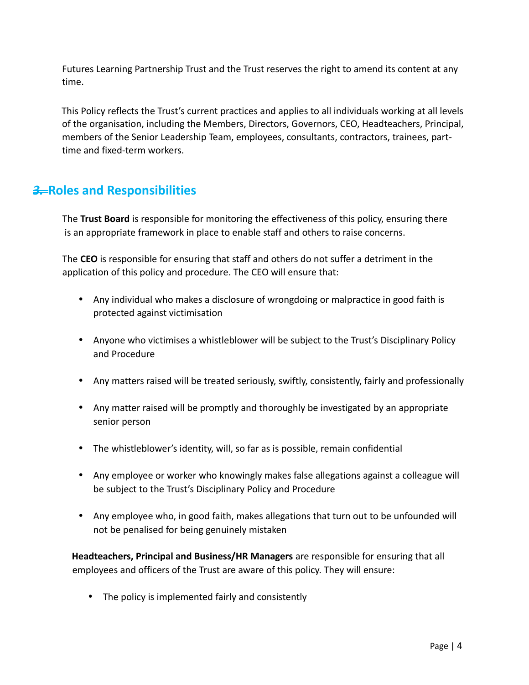Futures Learning Partnership Trust and the Trust reserves the right to amend its content at any time.

This Policy reflects the Trust's current practices and applies to all individuals working at all levels of the organisation, including the Members, Directors, Governors, CEO, Headteachers, Principal, members of the Senior Leadership Team, employees, consultants, contractors, trainees, parttime and fixed-term workers.

#### *3.* **Roles and Responsibilities**

 The **Trust Board** is responsible for monitoring the effectiveness of this policy, ensuring there is an appropriate framework in place to enable staff and others to raise concerns.

The **CEO** is responsible for ensuring that staff and others do not suffer a detriment in the application of this policy and procedure. The CEO will ensure that:

- Any individual who makes a disclosure of wrongdoing or malpractice in good faith is protected against victimisation
- Anyone who victimises a whistleblower will be subject to the Trust's Disciplinary Policy and Procedure
- Any matters raised will be treated seriously, swiftly, consistently, fairly and professionally
- Any matter raised will be promptly and thoroughly be investigated by an appropriate senior person
- The whistleblower's identity, will, so far as is possible, remain confidential
- Any employee or worker who knowingly makes false allegations against a colleague will be subject to the Trust's Disciplinary Policy and Procedure
- Any employee who, in good faith, makes allegations that turn out to be unfounded will not be penalised for being genuinely mistaken

**Headteachers, Principal and Business/HR Managers** are responsible for ensuring that all employees and officers of the Trust are aware of this policy. They will ensure:

• The policy is implemented fairly and consistently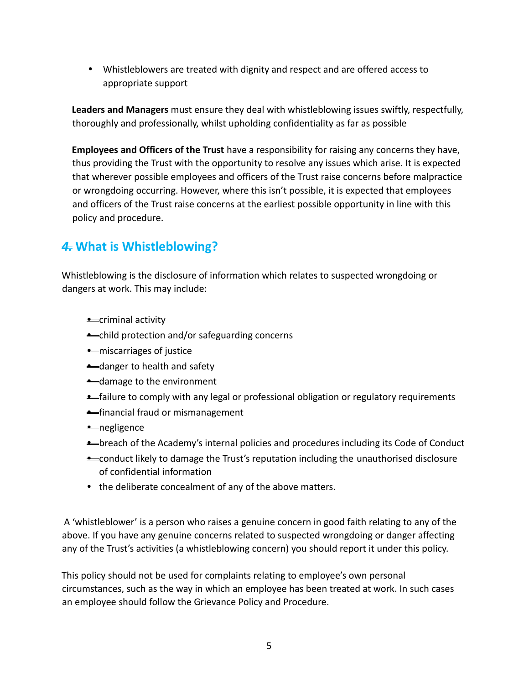• Whistleblowers are treated with dignity and respect and are offered access to appropriate support

**Leaders and Managers** must ensure they deal with whistleblowing issues swiftly, respectfully, thoroughly and professionally, whilst upholding confidentiality as far as possible

**Employees and Officers of the Trust** have a responsibility for raising any concerns they have, thus providing the Trust with the opportunity to resolve any issues which arise. It is expected that wherever possible employees and officers of the Trust raise concerns before malpractice or wrongdoing occurring. However, where this isn't possible, it is expected that employees and officers of the Trust raise concerns at the earliest possible opportunity in line with this policy and procedure.

## *4.* **What is Whistleblowing?**

Whistleblowing is the disclosure of information which relates to suspected wrongdoing or dangers at work. This may include:

- **•** criminal activity
- **•** child protection and/or safeguarding concerns
- miscarriages of justice
- **•** danger to health and safety
- damage to the environment
- **•** failure to comply with any legal or professional obligation or regulatory requirements
- **•** financial fraud or mismanagement
- negligence
- breach of the Academy's internal policies and procedures including its Code of Conduct
- **•** conduct likely to damage the Trust's reputation including the unauthorised disclosure of confidential information
- **•** the deliberate concealment of any of the above matters.

 A 'whistleblower' is a person who raises a genuine concern in good faith relating to any of the above. If you have any genuine concerns related to suspected wrongdoing or danger affecting any of the Trust's activities (a whistleblowing concern) you should report it under this policy.

This policy should not be used for complaints relating to employee's own personal circumstances, such as the way in which an employee has been treated at work. In such cases an employee should follow the Grievance Policy and Procedure.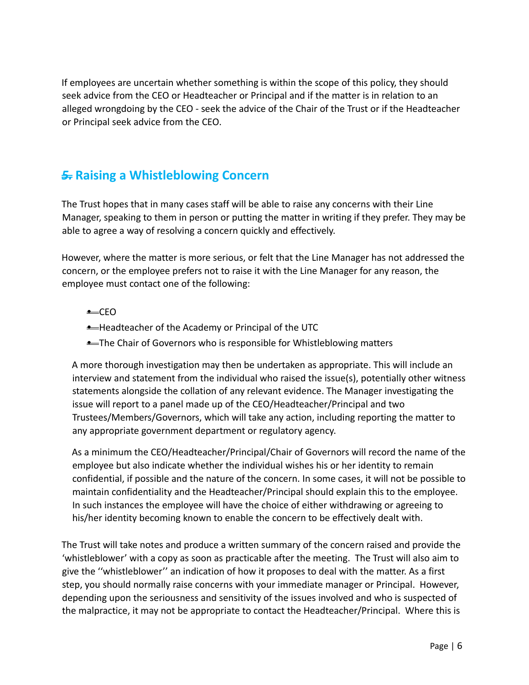If employees are uncertain whether something is within the scope of this policy, they should seek advice from the CEO or Headteacher or Principal and if the matter is in relation to an alleged wrongdoing by the CEO - seek the advice of the Chair of the Trust or if the Headteacher or Principal seek advice from the CEO.

#### *5.* **Raising a Whistleblowing Concern**

The Trust hopes that in many cases staff will be able to raise any concerns with their Line Manager, speaking to them in person or putting the matter in writing if they prefer. They may be able to agree a way of resolving a concern quickly and effectively.

However, where the matter is more serious, or felt that the Line Manager has not addressed the concern, or the employee prefers not to raise it with the Line Manager for any reason, the employee must contact one of the following:

- CEO
- Headteacher of the Academy or Principal of the UTC
- **•** The Chair of Governors who is responsible for Whistleblowing matters

A more thorough investigation may then be undertaken as appropriate. This will include an interview and statement from the individual who raised the issue(s), potentially other witness statements alongside the collation of any relevant evidence. The Manager investigating the issue will report to a panel made up of the CEO/Headteacher/Principal and two Trustees/Members/Governors, which will take any action, including reporting the matter to any appropriate government department or regulatory agency.

As a minimum the CEO/Headteacher/Principal/Chair of Governors will record the name of the employee but also indicate whether the individual wishes his or her identity to remain confidential, if possible and the nature of the concern. In some cases, it will not be possible to maintain confidentiality and the Headteacher/Principal should explain this to the employee. In such instances the employee will have the choice of either withdrawing or agreeing to his/her identity becoming known to enable the concern to be effectively dealt with.

The Trust will take notes and produce a written summary of the concern raised and provide the 'whistleblower' with a copy as soon as practicable after the meeting. The Trust will also aim to give the ''whistleblower'' an indication of how it proposes to deal with the matter. As a first step, you should normally raise concerns with your immediate manager or Principal. However, depending upon the seriousness and sensitivity of the issues involved and who is suspected of the malpractice, it may not be appropriate to contact the Headteacher/Principal. Where this is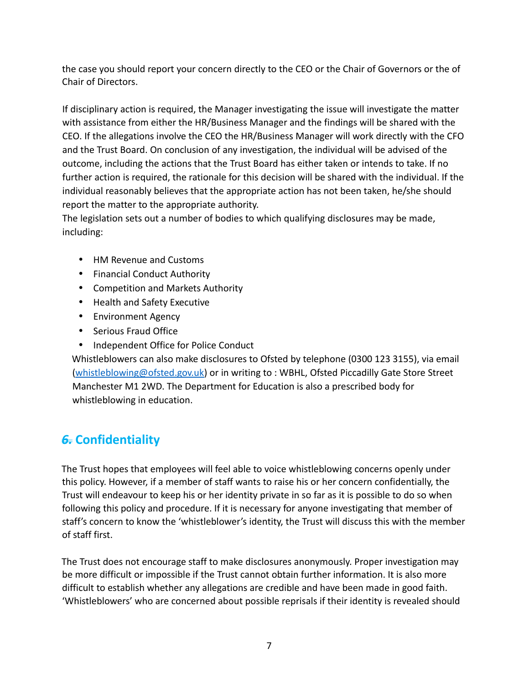the case you should report your concern directly to the CEO or the Chair of Governors or the of Chair of Directors.

If disciplinary action is required, the Manager investigating the issue will investigate the matter with assistance from either the HR/Business Manager and the findings will be shared with the CEO. If the allegations involve the CEO the HR/Business Manager will work directly with the CFO and the Trust Board. On conclusion of any investigation, the individual will be advised of the outcome, including the actions that the Trust Board has either taken or intends to take. If no further action is required, the rationale for this decision will be shared with the individual. If the individual reasonably believes that the appropriate action has not been taken, he/she should report the matter to the appropriate authority.

The legislation sets out a number of bodies to which qualifying disclosures may be made, including:

- HM Revenue and Customs
- Financial Conduct Authority
- Competition and Markets Authority
- Health and Safety Executive
- Environment Agency
- Serious Fraud Office
- Independent Office for Police Conduct

Whistleblowers can also make disclosures to Ofsted by telephone (0300 123 3155), via email [\(whistleblowing@ofsted.gov.uk\)](mailto:whistleblowing@ofsted.gov.uk) or in writing to : WBHL, Ofsted Piccadilly Gate Store Street Manchester M1 2WD. The Department for Education is also a prescribed body for whistleblowing in education.

# *6.* **Confidentiality**

The Trust hopes that employees will feel able to voice whistleblowing concerns openly under this policy. However, if a member of staff wants to raise his or her concern confidentially, the Trust will endeavour to keep his or her identity private in so far as it is possible to do so when following this policy and procedure. If it is necessary for anyone investigating that member of staff's concern to know the 'whistleblower's identity, the Trust will discuss this with the member of staff first.

The Trust does not encourage staff to make disclosures anonymously. Proper investigation may be more difficult or impossible if the Trust cannot obtain further information. It is also more difficult to establish whether any allegations are credible and have been made in good faith. 'Whistleblowers' who are concerned about possible reprisals if their identity is revealed should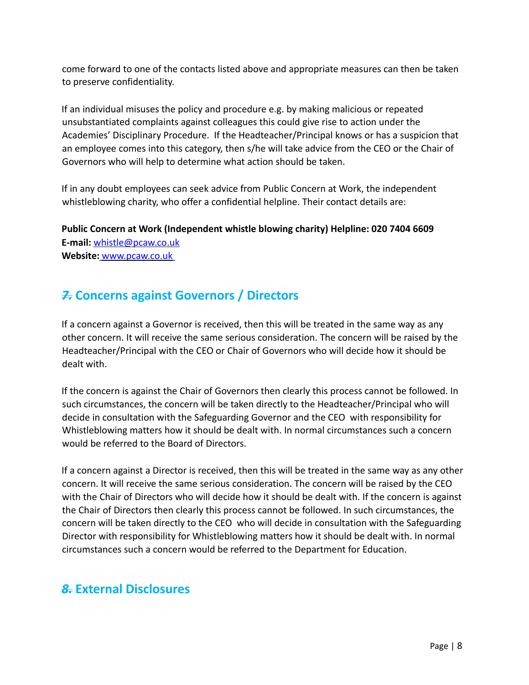come forward to one of the contacts listed above and appropriate measures can then be taken to preserve confidentiality.

If an individual misuses the policy and procedure e.g. by making malicious or repeated unsubstantiated complaints against colleagues this could give rise to action under the Academies' Disciplinary Procedure. If the Headteacher/Principal knows or has a suspicion that an employee comes into this category, then s/he will take advice from the CEO or the Chair of Governors who will help to determine what action should be taken.

If in any doubt employees can seek advice from Public Concern at Work, the independent whistleblowing charity, who offer a confidential helpline. Their contact details are:

**Public Concern at Work (Independent whistle blowing charity) Helpline: 020 7404 6609 E-mail:** whistle@pcaw.co.uk **Website:** [www.pcaw.co.uk](http://www.pcaw.co.uk/)

### *7.* **Concerns against Governors / Directors**

If a concern against a Governor is received, then this will be treated in the same way as any other concern. It will receive the same serious consideration. The concern will be raised by the Headteacher/Principal with the CEO or Chair of Governors who will decide how it should be dealt with.

If the concern is against the Chair of Governors then clearly this process cannot be followed. In such circumstances, the concern will be taken directly to the Headteacher/Principal who will decide in consultation with the Safeguarding Governor and the CEO with responsibility for Whistleblowing matters how it should be dealt with. In normal circumstances such a concern would be referred to the Board of Directors.

If a concern against a Director is received, then this will be treated in the same way as any other concern. It will receive the same serious consideration. The concern will be raised by the CEO with the Chair of Directors who will decide how it should be dealt with. If the concern is against the Chair of Directors then clearly this process cannot be followed. In such circumstances, the concern will be taken directly to the CEO who will decide in consultation with the Safeguarding Director with responsibility for Whistleblowing matters how it should be dealt with. In normal circumstances such a concern would be referred to the Department for Education.

#### *8.* **External Disclosures**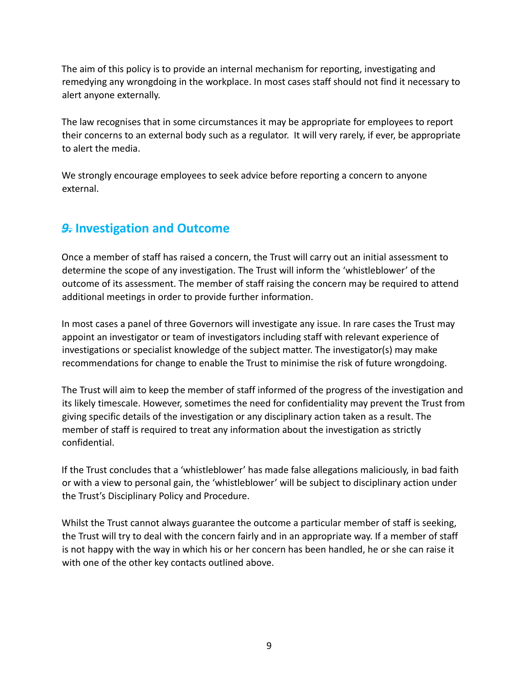The aim of this policy is to provide an internal mechanism for reporting, investigating and remedying any wrongdoing in the workplace. In most cases staff should not find it necessary to alert anyone externally.

The law recognises that in some circumstances it may be appropriate for employees to report their concerns to an external body such as a regulator. It will very rarely, if ever, be appropriate to alert the media.

We strongly encourage employees to seek advice before reporting a concern to anyone external.

#### *9.* **Investigation and Outcome**

Once a member of staff has raised a concern, the Trust will carry out an initial assessment to determine the scope of any investigation. The Trust will inform the 'whistleblower' of the outcome of its assessment. The member of staff raising the concern may be required to attend additional meetings in order to provide further information.

In most cases a panel of three Governors will investigate any issue. In rare cases the Trust may appoint an investigator or team of investigators including staff with relevant experience of investigations or specialist knowledge of the subject matter. The investigator(s) may make recommendations for change to enable the Trust to minimise the risk of future wrongdoing.

The Trust will aim to keep the member of staff informed of the progress of the investigation and its likely timescale. However, sometimes the need for confidentiality may prevent the Trust from giving specific details of the investigation or any disciplinary action taken as a result. The member of staff is required to treat any information about the investigation as strictly confidential.

If the Trust concludes that a 'whistleblower' has made false allegations maliciously, in bad faith or with a view to personal gain, the 'whistleblower' will be subject to disciplinary action under the Trust's Disciplinary Policy and Procedure.

Whilst the Trust cannot always guarantee the outcome a particular member of staff is seeking, the Trust will try to deal with the concern fairly and in an appropriate way. If a member of staff is not happy with the way in which his or her concern has been handled, he or she can raise it with one of the other key contacts outlined above.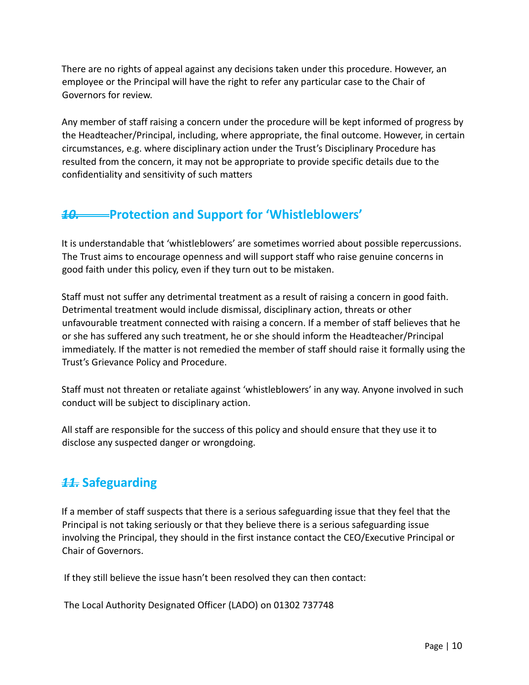There are no rights of appeal against any decisions taken under this procedure. However, an employee or the Principal will have the right to refer any particular case to the Chair of Governors for review.

Any member of staff raising a concern under the procedure will be kept informed of progress by the Headteacher/Principal, including, where appropriate, the final outcome. However, in certain circumstances, e.g. where disciplinary action under the Trust's Disciplinary Procedure has resulted from the concern, it may not be appropriate to provide specific details due to the confidentiality and sensitivity of such matters

#### *10.* **Protection and Support for 'Whistleblowers'**

It is understandable that 'whistleblowers' are sometimes worried about possible repercussions. The Trust aims to encourage openness and will support staff who raise genuine concerns in good faith under this policy, even if they turn out to be mistaken.

Staff must not suffer any detrimental treatment as a result of raising a concern in good faith. Detrimental treatment would include dismissal, disciplinary action, threats or other unfavourable treatment connected with raising a concern. If a member of staff believes that he or she has suffered any such treatment, he or she should inform the Headteacher/Principal immediately. If the matter is not remedied the member of staff should raise it formally using the Trust's Grievance Policy and Procedure.

Staff must not threaten or retaliate against 'whistleblowers' in any way. Anyone involved in such conduct will be subject to disciplinary action.

All staff are responsible for the success of this policy and should ensure that they use it to disclose any suspected danger or wrongdoing.

# *11.* **Safeguarding**

If a member of staff suspects that there is a serious safeguarding issue that they feel that the Principal is not taking seriously or that they believe there is a serious safeguarding issue involving the Principal, they should in the first instance contact the CEO/Executive Principal or Chair of Governors.

If they still believe the issue hasn't been resolved they can then contact:

The Local Authority Designated Officer (LADO) on 01302 737748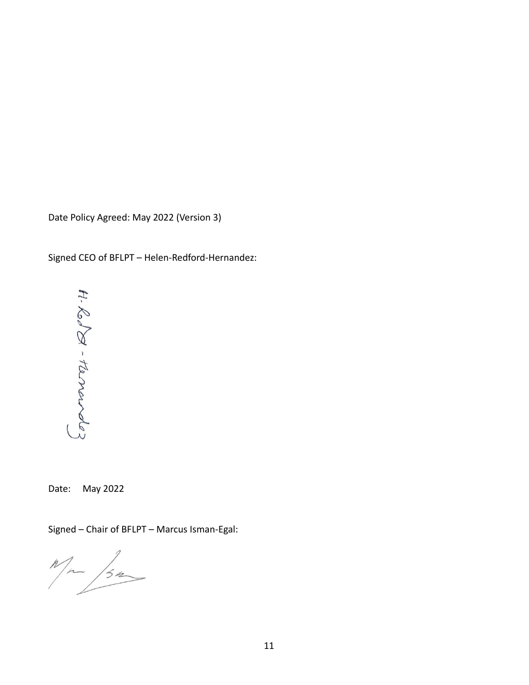Date Policy Agreed: May 2022 (Version 3)

Signed CEO of BFLPT – Helen-Redford-Hernandez:



Date: May 2022

Signed – Chair of BFLPT – Marcus Isman-Egal:

 $M_{\rm m}$  /3m